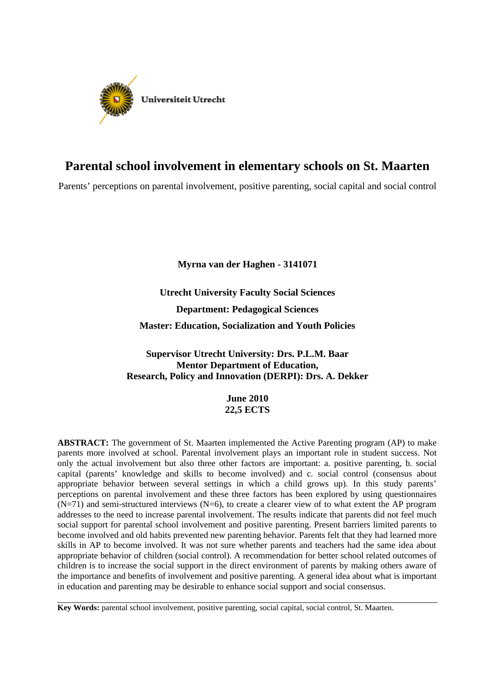

# **Parental school involvement in elementary schools on St. Maarten**

Parents' perceptions on parental involvement, positive parenting, social capital and social control

**Myrna van der Haghen - 3141071**

**Utrecht University Faculty Social Sciences Department: Pedagogical Sciences Master: Education, Socialization and Youth Policies**

# **Supervisor Utrecht University: Drs. P.L.M. Baar Mentor Department of Education, Research, Policy and Innovation (DERPI): Drs. A. Dekker**

**June 2010 22,5 ECTS**

**ABSTRACT:** The government of St. Maarten implemented the Active Parenting program (AP) to make parents more involved at school. Parental involvement plays an important role in student success. Not only the actual involvement but also three other factors are important: a. positive parenting, b. social capital (parents' knowledge and skills to become involved) and c. social control (consensus about appropriate behavior between several settings in which a child grows up). In this study parents' perceptions on parental involvement and these three factors has been explored by using questionnaires  $(N=71)$  and semi-structured interviews  $(N=6)$ , to create a clearer view of to what extent the AP program addresses to the need to increase parental involvement. The results indicate that parents did not feel much social support for parental school involvement and positive parenting. Present barriers limited parents to become involved and old habits prevented new parenting behavior. Parents felt that they had learned more skills in AP to become involved. It was not sure whether parents and teachers had the same idea about appropriate behavior of children (social control). A recommendation for better school related outcomes of children is to increase the social support in the direct environment of parents by making others aware of the importance and benefits of involvement and positive parenting. A general idea about what is important in education and parenting may be desirable to enhance social support and social consensus.

**Key Words:** parental school involvement, positive parenting, social capital, social control, St. Maarten.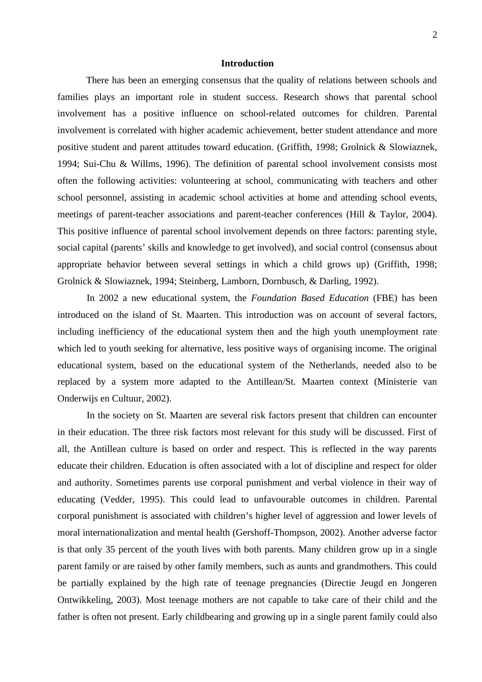# **Introduction**

There has been an emerging consensus that the quality of relations between schools and families plays an important role in student success. Research shows that parental school involvement has a positive influence on school-related outcomes for children. Parental involvement is correlated with higher academic achievement, better student attendance and more positive student and parent attitudes toward education. (Griffith, 1998; Grolnick & Slowiaznek, 1994; Sui-Chu & Willms, 1996). The definition of parental school involvement consists most often the following activities: volunteering at school, communicating with teachers and other school personnel, assisting in academic school activities at home and attending school events, meetings of parent-teacher associations and parent-teacher conferences (Hill & Taylor, 2004). This positive influence of parental school involvement depends on three factors: parenting style, social capital (parents' skills and knowledge to get involved), and social control (consensus about appropriate behavior between several settings in which a child grows up) (Griffith, 1998; Grolnick & Slowiaznek, 1994; Steinberg, Lamborn, Dornbusch, & Darling, 1992).

In 2002 a new educational system, the *Foundation Based Education* (FBE) has been introduced on the island of St. Maarten. This introduction was on account of several factors, including inefficiency of the educational system then and the high youth unemployment rate which led to youth seeking for alternative, less positive ways of organising income. The original educational system, based on the educational system of the Netherlands, needed also to be replaced by a system more adapted to the Antillean/St. Maarten context (Ministerie van Onderwijs en Cultuur, 2002).

In the society on St. Maarten are several risk factors present that children can encounter in their education. The three risk factors most relevant for this study will be discussed. First of all, the Antillean culture is based on order and respect. This is reflected in the way parents educate their children. Education is often associated with a lot of discipline and respect for older and authority. Sometimes parents use corporal punishment and verbal violence in their way of educating (Vedder, 1995). This could lead to unfavourable outcomes in children. Parental corporal punishment is associated with children's higher level of aggression and lower levels of moral internationalization and mental health (Gershoff-Thompson, 2002). Another adverse factor is that only 35 percent of the youth lives with both parents. Many children grow up in a single parent family or are raised by other family members, such as aunts and grandmothers. This could be partially explained by the high rate of teenage pregnancies (Directie Jeugd en Jongeren Ontwikkeling, 2003). Most teenage mothers are not capable to take care of their child and the father is often not present. Early childbearing and growing up in a single parent family could also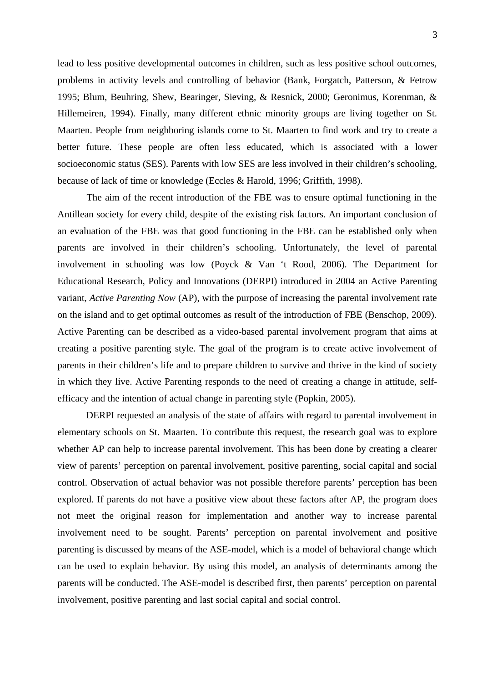lead to less positive developmental outcomes in children, such as less positive school outcomes, problems in activity levels and controlling of behavior (Bank, Forgatch, Patterson, & Fetrow 1995; Blum, Beuhring, Shew, Bearinger, Sieving, & Resnick, 2000; Geronimus, Korenman, & Hillemeiren, 1994). Finally, many different ethnic minority groups are living together on St. Maarten. People from neighboring islands come to St. Maarten to find work and try to create a better future. These people are often less educated, which is associated with a lower socioeconomic status (SES). Parents with low SES are less involved in their children's schooling, because of lack of time or knowledge (Eccles & Harold, 1996; Griffith, 1998).

The aim of the recent introduction of the FBE was to ensure optimal functioning in the Antillean society for every child, despite of the existing risk factors. An important conclusion of an evaluation of the FBE was that good functioning in the FBE can be established only when parents are involved in their children's schooling. Unfortunately, the level of parental involvement in schooling was low (Poyck & Van 't Rood, 2006). The Department for Educational Research, Policy and Innovations (DERPI) introduced in 2004 an Active Parenting variant, *Active Parenting Now* (AP), with the purpose of increasing the parental involvement rate on the island and to get optimal outcomes as result of the introduction of FBE (Benschop, 2009). Active Parenting can be described as a video-based parental involvement program that aims at creating a positive parenting style. The goal of the program is to create active involvement of parents in their children's life and to prepare children to survive and thrive in the kind of society in which they live. Active Parenting responds to the need of creating a change in attitude, selfefficacy and the intention of actual change in parenting style (Popkin, 2005).

DERPI requested an analysis of the state of affairs with regard to parental involvement in elementary schools on St. Maarten. To contribute this request, the research goal was to explore whether AP can help to increase parental involvement. This has been done by creating a clearer view of parents' perception on parental involvement, positive parenting, social capital and social control. Observation of actual behavior was not possible therefore parents' perception has been explored. If parents do not have a positive view about these factors after AP, the program does not meet the original reason for implementation and another way to increase parental involvement need to be sought. Parents' perception on parental involvement and positive parenting is discussed by means of the ASE-model, which is a model of behavioral change which can be used to explain behavior. By using this model, an analysis of determinants among the parents will be conducted. The ASE-model is described first, then parents' perception on parental involvement, positive parenting and last social capital and social control.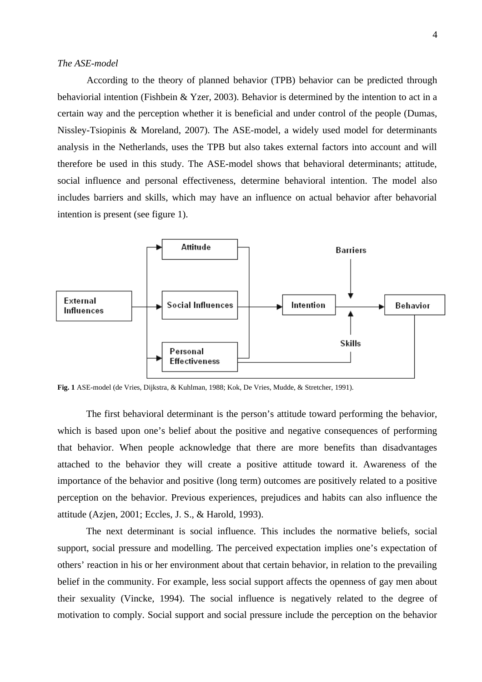# *The ASE-model*

According to the theory of planned behavior (TPB) behavior can be predicted through behaviorial intention (Fishbein & Yzer, 2003). Behavior is determined by the intention to act in a certain way and the perception whether it is beneficial and under control of the people (Dumas, Nissley-Tsiopinis & Moreland, 2007). The ASE-model, a widely used model for determinants analysis in the Netherlands, uses the TPB but also takes external factors into account and will therefore be used in this study. The ASE-model shows that behavioral determinants; attitude, social influence and personal effectiveness, determine behavioral intention. The model also includes barriers and skills, which may have an influence on actual behavior after behavorial intention is present (see figure 1).



**Fig. 1** ASE-model (de Vries, Dijkstra, & Kuhlman, 1988; Kok, De Vries, Mudde, & Stretcher, 1991).

The first behavioral determinant is the person's attitude toward performing the behavior, which is based upon one's belief about the positive and negative consequences of performing that behavior. When people acknowledge that there are more benefits than disadvantages attached to the behavior they will create a positive attitude toward it. Awareness of the importance of the behavior and positive (long term) outcomes are positively related to a positive perception on the behavior. Previous experiences, prejudices and habits can also influence the attitude (Azjen, 2001; Eccles, J. S., & Harold, 1993).

The next determinant is social influence. This includes the normative beliefs, social support, social pressure and modelling. The perceived expectation implies one's expectation of others' reaction in his or her environment about that certain behavior, in relation to the prevailing belief in the community. For example, less social support affects the openness of gay men about their sexuality (Vincke, 1994). The social influence is negatively related to the degree of motivation to comply. Social support and social pressure include the perception on the behavior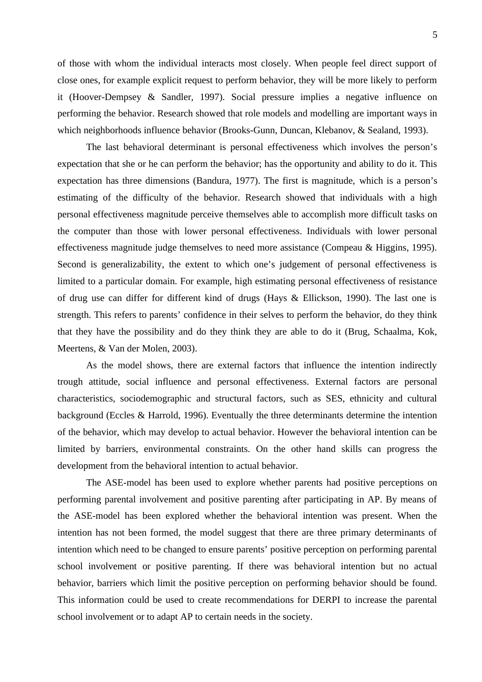of those with whom the individual interacts most closely. When people feel direct support of close ones, for example explicit request to perform behavior, they will be more likely to perform it (Hoover-Dempsey & Sandler, 1997). Social pressure implies a negative influence on performing the behavior. Research showed that role models and modelling are important ways in which neighborhoods influence behavior (Brooks-Gunn, Duncan, Klebanov, & Sealand, 1993).

The last behavioral determinant is personal effectiveness which involves the person's expectation that she or he can perform the behavior; has the opportunity and ability to do it. This expectation has three dimensions (Bandura, 1977). The first is magnitude, which is a person's estimating of the difficulty of the behavior. Research showed that individuals with a high personal effectiveness magnitude perceive themselves able to accomplish more difficult tasks on the computer than those with lower personal effectiveness. Individuals with lower personal effectiveness magnitude judge themselves to need more assistance (Compeau & Higgins, 1995). Second is generalizability, the extent to which one's judgement of personal effectiveness is limited to a particular domain. For example, high estimating personal effectiveness of resistance of drug use can differ for different kind of drugs (Hays & Ellickson, 1990). The last one is strength. This refers to parents' confidence in their selves to perform the behavior, do they think that they have the possibility and do they think they are able to do it (Brug, Schaalma, Kok, Meertens, & Van der Molen, 2003).

As the model shows, there are external factors that influence the intention indirectly trough attitude, social influence and personal effectiveness. External factors are personal characteristics, sociodemographic and structural factors, such as SES, ethnicity and cultural background (Eccles & Harrold, 1996). Eventually the three determinants determine the intention of the behavior, which may develop to actual behavior. However the behavioral intention can be limited by barriers, environmental constraints. On the other hand skills can progress the development from the behavioral intention to actual behavior.

The ASE-model has been used to explore whether parents had positive perceptions on performing parental involvement and positive parenting after participating in AP. By means of the ASE-model has been explored whether the behavioral intention was present. When the intention has not been formed, the model suggest that there are three primary determinants of intention which need to be changed to ensure parents' positive perception on performing parental school involvement or positive parenting. If there was behavioral intention but no actual behavior, barriers which limit the positive perception on performing behavior should be found. This information could be used to create recommendations for DERPI to increase the parental school involvement or to adapt AP to certain needs in the society.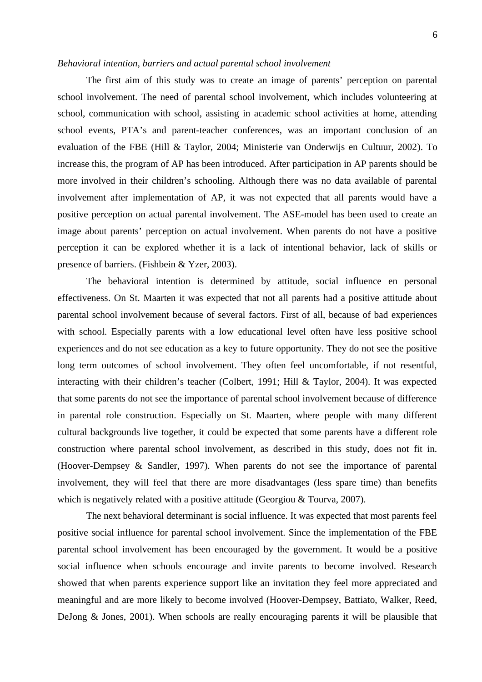# *Behavioral intention, barriers and actual parental school involvement*

The first aim of this study was to create an image of parents' perception on parental school involvement. The need of parental school involvement, which includes volunteering at school, communication with school, assisting in academic school activities at home, attending school events, PTA's and parent-teacher conferences, was an important conclusion of an evaluation of the FBE (Hill & Taylor, 2004; Ministerie van Onderwijs en Cultuur, 2002). To increase this, the program of AP has been introduced. After participation in AP parents should be more involved in their children's schooling. Although there was no data available of parental involvement after implementation of AP, it was not expected that all parents would have a positive perception on actual parental involvement. The ASE-model has been used to create an image about parents' perception on actual involvement. When parents do not have a positive perception it can be explored whether it is a lack of intentional behavior, lack of skills or presence of barriers. (Fishbein & Yzer, 2003).

The behavioral intention is determined by attitude, social influence en personal effectiveness. On St. Maarten it was expected that not all parents had a positive attitude about parental school involvement because of several factors. First of all, because of bad experiences with school. Especially parents with a low educational level often have less positive school experiences and do not see education as a key to future opportunity. They do not see the positive long term outcomes of school involvement. They often feel uncomfortable, if not resentful, interacting with their children's teacher (Colbert, 1991; Hill & Taylor, 2004). It was expected that some parents do not see the importance of parental school involvement because of difference in parental role construction. Especially on St. Maarten, where people with many different cultural backgrounds live together, it could be expected that some parents have a different role construction where parental school involvement, as described in this study, does not fit in. (Hoover-Dempsey & Sandler, 1997). When parents do not see the importance of parental involvement, they will feel that there are more disadvantages (less spare time) than benefits which is negatively related with a positive attitude (Georgiou & Tourva, 2007).

The next behavioral determinant is social influence. It was expected that most parents feel positive social influence for parental school involvement. Since the implementation of the FBE parental school involvement has been encouraged by the government. It would be a positive social influence when schools encourage and invite parents to become involved. Research showed that when parents experience support like an invitation they feel more appreciated and meaningful and are more likely to become involved (Hoover-Dempsey, Battiato, Walker, Reed, DeJong & Jones, 2001). When schools are really encouraging parents it will be plausible that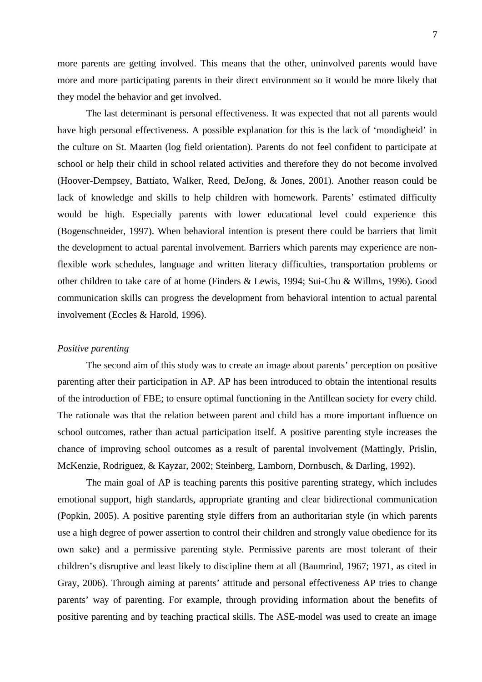more parents are getting involved. This means that the other, uninvolved parents would have more and more participating parents in their direct environment so it would be more likely that they model the behavior and get involved.

The last determinant is personal effectiveness. It was expected that not all parents would have high personal effectiveness. A possible explanation for this is the lack of 'mondigheid' in the culture on St. Maarten (log field orientation). Parents do not feel confident to participate at school or help their child in school related activities and therefore they do not become involved (Hoover-Dempsey, Battiato, Walker, Reed, DeJong, & Jones, 2001). Another reason could be lack of knowledge and skills to help children with homework. Parents' estimated difficulty would be high. Especially parents with lower educational level could experience this (Bogenschneider, 1997). When behavioral intention is present there could be barriers that limit the development to actual parental involvement. Barriers which parents may experience are nonflexible work schedules, language and written literacy difficulties, transportation problems or other children to take care of at home (Finders & Lewis, 1994; Sui-Chu & Willms, 1996). Good communication skills can progress the development from behavioral intention to actual parental involvement (Eccles & Harold, 1996).

#### *Positive parenting*

The second aim of this study was to create an image about parents' perception on positive parenting after their participation in AP. AP has been introduced to obtain the intentional results of the introduction of FBE; to ensure optimal functioning in the Antillean society for every child. The rationale was that the relation between parent and child has a more important influence on school outcomes, rather than actual participation itself. A positive parenting style increases the chance of improving school outcomes as a result of parental involvement (Mattingly, Prislin, McKenzie, Rodriguez, & Kayzar, 2002; Steinberg, Lamborn, Dornbusch, & Darling, 1992).

The main goal of AP is teaching parents this positive parenting strategy, which includes emotional support, high standards, appropriate granting and clear bidirectional communication (Popkin, 2005). A positive parenting style differs from an authoritarian style (in which parents use a high degree of power assertion to control their children and strongly value obedience for its own sake) and a permissive parenting style. Permissive parents are most tolerant of their children's disruptive and least likely to discipline them at all (Baumrind, 1967; 1971, as cited in Gray, 2006). Through aiming at parents' attitude and personal effectiveness AP tries to change parents' way of parenting. For example, through providing information about the benefits of positive parenting and by teaching practical skills. The ASE-model was used to create an image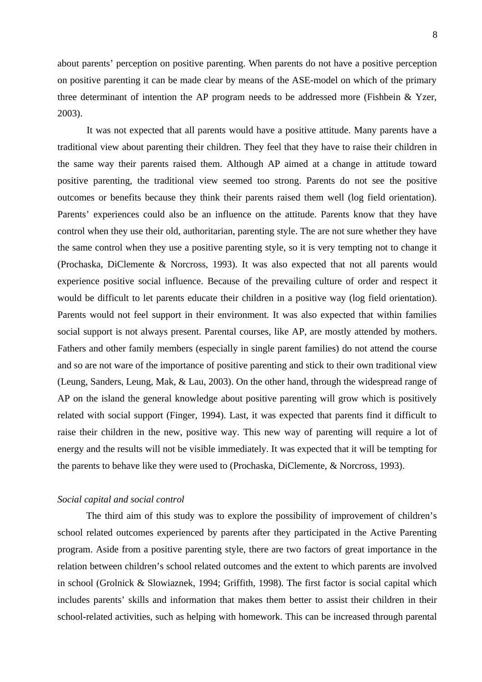about parents' perception on positive parenting. When parents do not have a positive perception on positive parenting it can be made clear by means of the ASE-model on which of the primary three determinant of intention the AP program needs to be addressed more (Fishbein & Yzer, 2003).

It was not expected that all parents would have a positive attitude. Many parents have a traditional view about parenting their children. They feel that they have to raise their children in the same way their parents raised them. Although AP aimed at a change in attitude toward positive parenting, the traditional view seemed too strong. Parents do not see the positive outcomes or benefits because they think their parents raised them well (log field orientation). Parents' experiences could also be an influence on the attitude. Parents know that they have control when they use their old, authoritarian, parenting style. The are not sure whether they have the same control when they use a positive parenting style, so it is very tempting not to change it (Prochaska, DiClemente & Norcross, 1993). It was also expected that not all parents would experience positive social influence. Because of the prevailing culture of order and respect it would be difficult to let parents educate their children in a positive way (log field orientation). Parents would not feel support in their environment. It was also expected that within families social support is not always present. Parental courses, like AP, are mostly attended by mothers. Fathers and other family members (especially in single parent families) do not attend the course and so are not ware of the importance of positive parenting and stick to their own traditional view (Leung, Sanders, Leung, Mak, & Lau, 2003). On the other hand, through the widespread range of AP on the island the general knowledge about positive parenting will grow which is positively related with social support (Finger, 1994). Last, it was expected that parents find it difficult to raise their children in the new, positive way. This new way of parenting will require a lot of energy and the results will not be visible immediately. It was expected that it will be tempting for the parents to behave like they were used to (Prochaska, DiClemente, & Norcross, 1993).

# *Social capital and social control*

The third aim of this study was to explore the possibility of improvement of children's school related outcomes experienced by parents after they participated in the Active Parenting program. Aside from a positive parenting style, there are two factors of great importance in the relation between children's school related outcomes and the extent to which parents are involved in school (Grolnick & Slowiaznek, 1994; Griffith, 1998). The first factor is social capital which includes parents' skills and information that makes them better to assist their children in their school-related activities, such as helping with homework. This can be increased through parental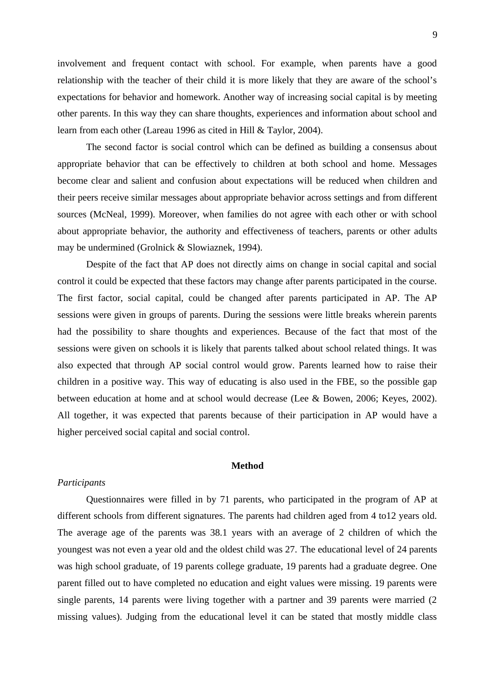involvement and frequent contact with school. For example, when parents have a good relationship with the teacher of their child it is more likely that they are aware of the school's expectations for behavior and homework. Another way of increasing social capital is by meeting other parents. In this way they can share thoughts, experiences and information about school and learn from each other (Lareau 1996 as cited in Hill & Taylor, 2004).

The second factor is social control which can be defined as building a consensus about appropriate behavior that can be effectively to children at both school and home. Messages become clear and salient and confusion about expectations will be reduced when children and their peers receive similar messages about appropriate behavior across settings and from different sources (McNeal, 1999). Moreover, when families do not agree with each other or with school about appropriate behavior, the authority and effectiveness of teachers, parents or other adults may be undermined (Grolnick & Slowiaznek, 1994).

Despite of the fact that AP does not directly aims on change in social capital and social control it could be expected that these factors may change after parents participated in the course. The first factor, social capital, could be changed after parents participated in AP. The AP sessions were given in groups of parents. During the sessions were little breaks wherein parents had the possibility to share thoughts and experiences. Because of the fact that most of the sessions were given on schools it is likely that parents talked about school related things. It was also expected that through AP social control would grow. Parents learned how to raise their children in a positive way. This way of educating is also used in the FBE, so the possible gap between education at home and at school would decrease (Lee & Bowen, 2006; Keyes, 2002). All together, it was expected that parents because of their participation in AP would have a higher perceived social capital and social control.

### **Method**

# *Participants*

Questionnaires were filled in by 71 parents, who participated in the program of AP at different schools from different signatures. The parents had children aged from 4 to12 years old. The average age of the parents was 38.1 years with an average of 2 children of which the youngest was not even a year old and the oldest child was 27. The educational level of 24 parents was high school graduate, of 19 parents college graduate, 19 parents had a graduate degree. One parent filled out to have completed no education and eight values were missing. 19 parents were single parents, 14 parents were living together with a partner and 39 parents were married (2 missing values). Judging from the educational level it can be stated that mostly middle class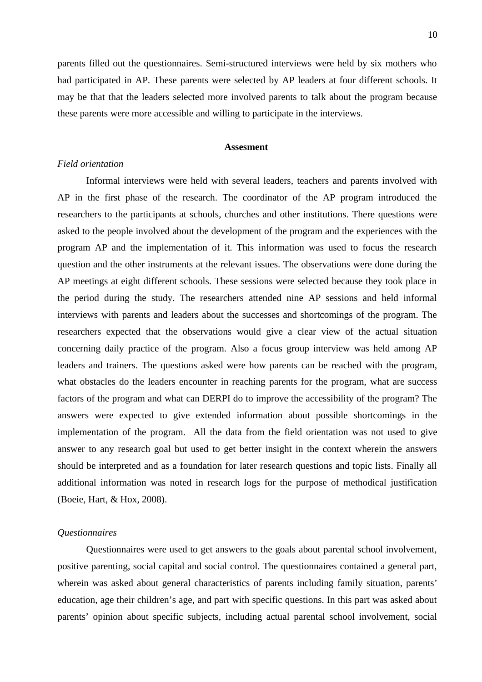parents filled out the questionnaires. Semi-structured interviews were held by six mothers who had participated in AP. These parents were selected by AP leaders at four different schools. It may be that that the leaders selected more involved parents to talk about the program because these parents were more accessible and willing to participate in the interviews.

# **Assesment**

# *Field orientation*

Informal interviews were held with several leaders, teachers and parents involved with AP in the first phase of the research. The coordinator of the AP program introduced the researchers to the participants at schools, churches and other institutions. There questions were asked to the people involved about the development of the program and the experiences with the program AP and the implementation of it. This information was used to focus the research question and the other instruments at the relevant issues. The observations were done during the AP meetings at eight different schools. These sessions were selected because they took place in the period during the study. The researchers attended nine AP sessions and held informal interviews with parents and leaders about the successes and shortcomings of the program. The researchers expected that the observations would give a clear view of the actual situation concerning daily practice of the program. Also a focus group interview was held among AP leaders and trainers. The questions asked were how parents can be reached with the program, what obstacles do the leaders encounter in reaching parents for the program, what are success factors of the program and what can DERPI do to improve the accessibility of the program? The answers were expected to give extended information about possible shortcomings in the implementation of the program. All the data from the field orientation was not used to give answer to any research goal but used to get better insight in the context wherein the answers should be interpreted and as a foundation for later research questions and topic lists. Finally all additional information was noted in research logs for the purpose of methodical justification (Boeie, Hart, & Hox, 2008).

#### *Questionnaires*

Questionnaires were used to get answers to the goals about parental school involvement, positive parenting, social capital and social control. The questionnaires contained a general part, wherein was asked about general characteristics of parents including family situation, parents' education, age their children's age, and part with specific questions. In this part was asked about parents' opinion about specific subjects, including actual parental school involvement, social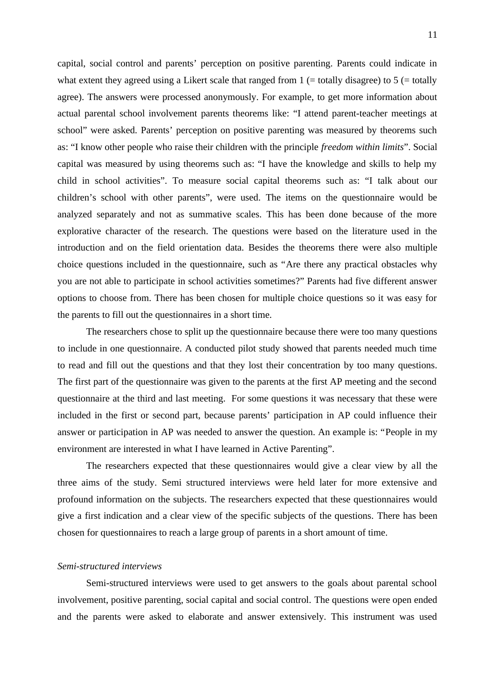capital, social control and parents' perception on positive parenting. Parents could indicate in what extent they agreed using a Likert scale that ranged from  $1$  (= totally disagree) to  $5$  (= totally agree). The answers were processed anonymously. For example, to get more information about actual parental school involvement parents theorems like: "I attend parent-teacher meetings at school" were asked. Parents' perception on positive parenting was measured by theorems such as: "I know other people who raise their children with the principle *freedom within limits*". Social capital was measured by using theorems such as: "I have the knowledge and skills to help my child in school activities". To measure social capital theorems such as: "I talk about our children's school with other parents", were used. The items on the questionnaire would be analyzed separately and not as summative scales. This has been done because of the more explorative character of the research. The questions were based on the literature used in the introduction and on the field orientation data. Besides the theorems there were also multiple choice questions included in the questionnaire, such as "Are there any practical obstacles why you are not able to participate in school activities sometimes?" Parents had five different answer options to choose from. There has been chosen for multiple choice questions so it was easy for the parents to fill out the questionnaires in a short time.

The researchers chose to split up the questionnaire because there were too many questions to include in one questionnaire. A conducted pilot study showed that parents needed much time to read and fill out the questions and that they lost their concentration by too many questions. The first part of the questionnaire was given to the parents at the first AP meeting and the second questionnaire at the third and last meeting. For some questions it was necessary that these were included in the first or second part, because parents' participation in AP could influence their answer or participation in AP was needed to answer the question. An example is: "People in my environment are interested in what I have learned in Active Parenting".

The researchers expected that these questionnaires would give a clear view by all the three aims of the study. Semi structured interviews were held later for more extensive and profound information on the subjects. The researchers expected that these questionnaires would give a first indication and a clear view of the specific subjects of the questions. There has been chosen for questionnaires to reach a large group of parents in a short amount of time.

#### *Semi-structured interviews*

Semi-structured interviews were used to get answers to the goals about parental school involvement, positive parenting, social capital and social control. The questions were open ended and the parents were asked to elaborate and answer extensively. This instrument was used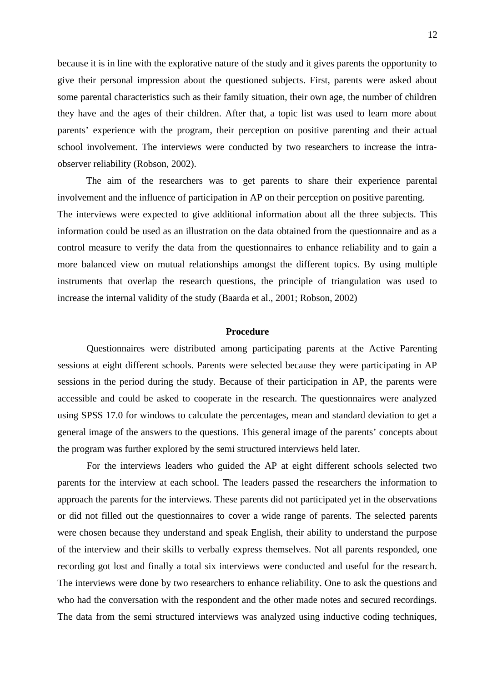because it is in line with the explorative nature of the study and it gives parents the opportunity to give their personal impression about the questioned subjects. First, parents were asked about some parental characteristics such as their family situation, their own age, the number of children they have and the ages of their children. After that, a topic list was used to learn more about parents' experience with the program, their perception on positive parenting and their actual school involvement. The interviews were conducted by two researchers to increase the intraobserver reliability (Robson, 2002).

The aim of the researchers was to get parents to share their experience parental involvement and the influence of participation in AP on their perception on positive parenting. The interviews were expected to give additional information about all the three subjects. This information could be used as an illustration on the data obtained from the questionnaire and as a control measure to verify the data from the questionnaires to enhance reliability and to gain a more balanced view on mutual relationships amongst the different topics. By using multiple instruments that overlap the research questions, the principle of triangulation was used to increase the internal validity of the study (Baarda et al., 2001; Robson, 2002)

### **Procedure**

Questionnaires were distributed among participating parents at the Active Parenting sessions at eight different schools. Parents were selected because they were participating in AP sessions in the period during the study. Because of their participation in AP, the parents were accessible and could be asked to cooperate in the research. The questionnaires were analyzed using SPSS 17.0 for windows to calculate the percentages, mean and standard deviation to get a general image of the answers to the questions. This general image of the parents' concepts about the program was further explored by the semi structured interviews held later.

For the interviews leaders who guided the AP at eight different schools selected two parents for the interview at each school. The leaders passed the researchers the information to approach the parents for the interviews. These parents did not participated yet in the observations or did not filled out the questionnaires to cover a wide range of parents. The selected parents were chosen because they understand and speak English, their ability to understand the purpose of the interview and their skills to verbally express themselves. Not all parents responded, one recording got lost and finally a total six interviews were conducted and useful for the research. The interviews were done by two researchers to enhance reliability. One to ask the questions and who had the conversation with the respondent and the other made notes and secured recordings. The data from the semi structured interviews was analyzed using inductive coding techniques,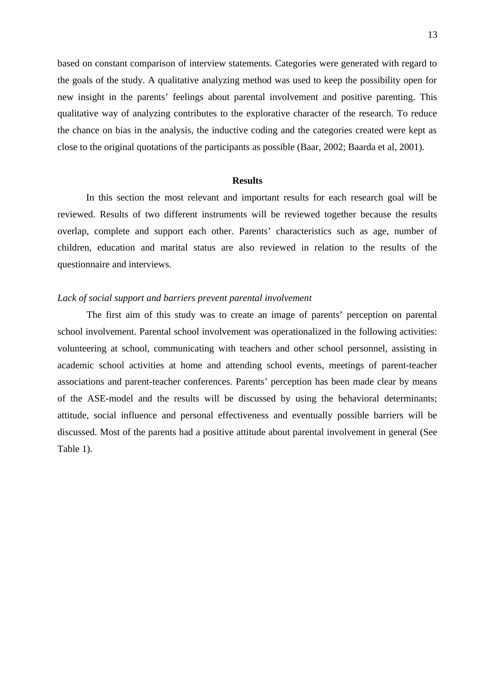based on constant comparison of interview statements. Categories were generated with regard to the goals of the study. A qualitative analyzing method was used to keep the possibility open for new insight in the parents' feelings about parental involvement and positive parenting. This qualitative way of analyzing contributes to the explorative character of the research. To reduce the chance on bias in the analysis, the inductive coding and the categories created were kept as close to the original quotations of the participants as possible (Baar, 2002; Baarda et al, 2001).

#### **Results**

In this section the most relevant and important results for each research goal will be reviewed. Results of two different instruments will be reviewed together because the results overlap, complete and support each other. Parents' characteristics such as age, number of children, education and marital status are also reviewed in relation to the results of the questionnaire and interviews.

# *Lack of social support and barriers prevent parental involvement*

The first aim of this study was to create an image of parents' perception on parental school involvement. Parental school involvement was operationalized in the following activities: volunteering at school, communicating with teachers and other school personnel, assisting in academic school activities at home and attending school events, meetings of parent-teacher associations and parent-teacher conferences. Parents' perception has been made clear by means of the ASE-model and the results will be discussed by using the behavioral determinants; attitude, social influence and personal effectiveness and eventually possible barriers will be discussed. Most of the parents had a positive attitude about parental involvement in general (See Table 1).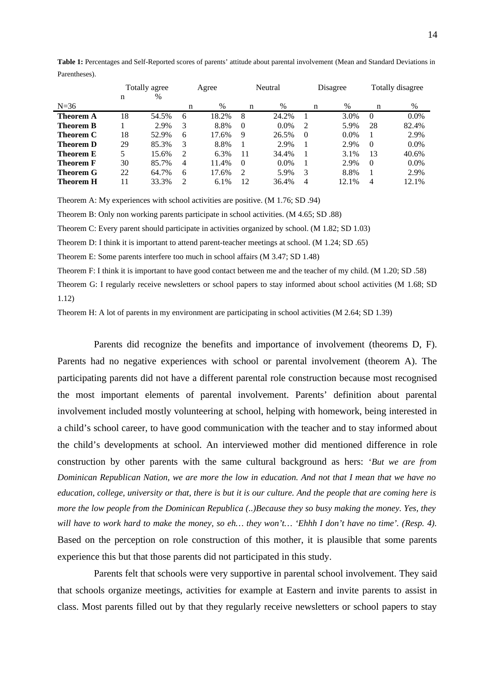|           | Totally agree |       | Agree |       | Neutral       |         | <b>Disagree</b> |         | Totally disagree |         |
|-----------|---------------|-------|-------|-------|---------------|---------|-----------------|---------|------------------|---------|
|           | n             | $\%$  |       |       |               |         |                 |         |                  |         |
| $N=36$    |               |       | n     | $\%$  | n             | $\%$    | n               | $\%$    | n                | %       |
| Theorem A | 18            | 54.5% | 6     | 18.2% | 8             | 24.2%   |                 | 3.0%    | $\Omega$         | $0.0\%$ |
| Theorem B |               | 2.9%  | 3     | 8.8%  | $\Omega$      | $0.0\%$ | $\overline{2}$  | 5.9%    | 28               | 82.4%   |
| Theorem C | 18            | 52.9% | 6     | 17.6% | 9             | 26.5%   | $\Omega$        | $0.0\%$ |                  | 2.9%    |
| Theorem D | 29            | 85.3% | 3     | 8.8%  |               | 2.9%    |                 | 2.9%    | $\Omega$         | $0.0\%$ |
| Theorem E | 5             | 15.6% | 2     | 6.3%  | 11            | 34.4%   |                 | 3.1%    | 13               | 40.6%   |
| Theorem F | 30            | 85.7% | 4     | 11.4% | 0             | $0.0\%$ |                 | 2.9%    | $\Omega$         | $0.0\%$ |
| Theorem G | 22            | 64.7% | 6     | 17.6% | $\mathcal{P}$ | 5.9%    | 3               | 8.8%    |                  | 2.9%    |
| Theorem H | 11            | 33.3% | C.    | 6.1%  | 12            | 36.4%   | $\overline{4}$  | 12.1%   | 4                | 12.1%   |

**Table 1:** Percentages and Self-Reported scores of parents' attitude about parental involvement (Mean and Standard Deviations in Parentheses).

Theorem A: My experiences with school activities are positive. (M 1.76; SD .94)

Theorem B: Only non working parents participate in school activities. (M 4.65; SD .88)

Theorem C: Every parent should participate in activities organized by school. (M 1.82; SD 1.03)

Theorem D: I think it is important to attend parent-teacher meetings at school. (M 1.24; SD .65)

Theorem E: Some parents interfere too much in school affairs (M 3.47; SD 1.48)

Theorem F: I think it is important to have good contact between me and the teacher of my child. (M 1.20; SD .58)

Theorem G: I regularly receive newsletters or school papers to stay informed about school activities (M 1.68; SD 1.12)

Theorem H: A lot of parents in my environment are participating in school activities (M 2.64; SD 1.39)

Parents did recognize the benefits and importance of involvement (theorems D, F). Parents had no negative experiences with school or parental involvement (theorem A). The participating parents did not have a different parental role construction because most recognised the most important elements of parental involvement. Parents' definition about parental involvement included mostly volunteering at school, helping with homework, being interested in a child's school career, to have good communication with the teacher and to stay informed about the child's developments at school. An interviewed mother did mentioned difference in role construction by other parents with the same cultural background as hers: '*But we are from Dominican Republican Nation, we are more the low in education. And not that I mean that we have no education, college, university or that, there is but it is our culture. And the people that are coming here is more the low people from the Dominican Republica (..)Because they so busy making the money. Yes, they will have to work hard to make the money, so eh… they won't… 'Ehhh I don't have no time'. (Resp. 4).* Based on the perception on role construction of this mother, it is plausible that some parents experience this but that those parents did not participated in this study.

Parents felt that schools were very supportive in parental school involvement. They said that schools organize meetings, activities for example at Eastern and invite parents to assist in class. Most parents filled out by that they regularly receive newsletters or school papers to stay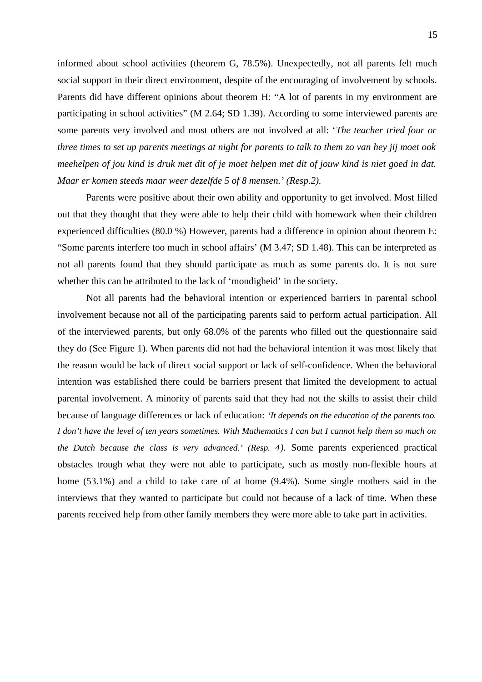informed about school activities (theorem G, 78.5%). Unexpectedly, not all parents felt much social support in their direct environment, despite of the encouraging of involvement by schools. Parents did have different opinions about theorem H: "A lot of parents in my environment are participating in school activities" (M 2.64; SD 1.39). According to some interviewed parents are some parents very involved and most others are not involved at all: '*The teacher tried four or three times to set up parents meetings at night for parents to talk to them zo van hey jij moet ook meehelpen of jou kind is druk met dit of je moet helpen met dit of jouw kind is niet goed in dat. Maar er komen steeds maar weer dezelfde 5 of 8 mensen.' (Resp.2).* 

Parents were positive about their own ability and opportunity to get involved. Most filled out that they thought that they were able to help their child with homework when their children experienced difficulties (80.0 %) However, parents had a difference in opinion about theorem E: "Some parents interfere too much in school affairs' (M 3.47; SD 1.48). This can be interpreted as not all parents found that they should participate as much as some parents do. It is not sure whether this can be attributed to the lack of 'mondigheid' in the society.

Not all parents had the behavioral intention or experienced barriers in parental school involvement because not all of the participating parents said to perform actual participation. All of the interviewed parents, but only 68.0% of the parents who filled out the questionnaire said they do (See Figure 1). When parents did not had the behavioral intention it was most likely that the reason would be lack of direct social support or lack of self-confidence. When the behavioral intention was established there could be barriers present that limited the development to actual parental involvement. A minority of parents said that they had not the skills to assist their child because of language differences or lack of education: *'It depends on the education of the parents too. I don't have the level of ten years sometimes. With Mathematics I can but I cannot help them so much on the Dutch because the class is very advanced.' (Resp. 4).* Some parents experienced practical obstacles trough what they were not able to participate, such as mostly non-flexible hours at home (53.1%) and a child to take care of at home (9.4%). Some single mothers said in the interviews that they wanted to participate but could not because of a lack of time. When these parents received help from other family members they were more able to take part in activities.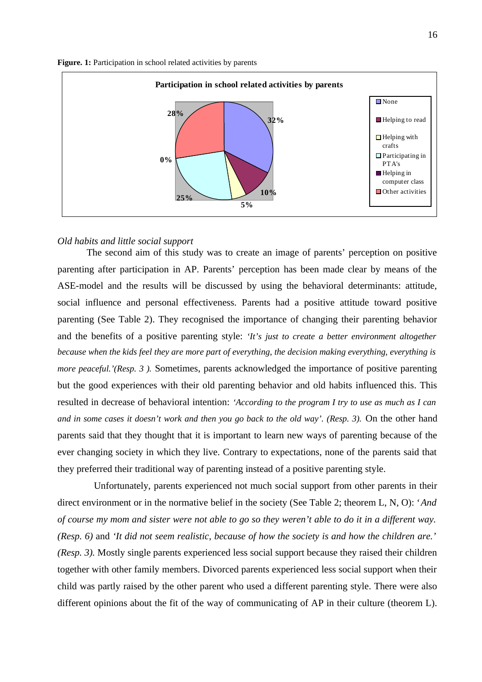Figure. 1: Participation in school related activities by parents



### *Old habits and little social support*

The second aim of this study was to create an image of parents' perception on positive parenting after participation in AP. Parents' perception has been made clear by means of the ASE-model and the results will be discussed by using the behavioral determinants: attitude, social influence and personal effectiveness. Parents had a positive attitude toward positive parenting (See Table 2). They recognised the importance of changing their parenting behavior and the benefits of a positive parenting style: *'It's just to create a better environment altogether because when the kids feel they are more part of everything, the decision making everything, everything is more peaceful.'(Resp. 3).* Sometimes, parents acknowledged the importance of positive parenting but the good experiences with their old parenting behavior and old habits influenced this. This resulted in decrease of behavioral intention: *'According to the program I try to use as much as I can and in some cases it doesn't work and then you go back to the old way'. (Resp. 3).* On the other hand parents said that they thought that it is important to learn new ways of parenting because of the ever changing society in which they live. Contrary to expectations, none of the parents said that they preferred their traditional way of parenting instead of a positive parenting style.

Unfortunately, parents experienced not much social support from other parents in their direct environment or in the normative belief in the society (See Table 2; theorem L, N, O): '*And of course my mom and sister were not able to go so they weren't able to do it in a different way. (Resp. 6)* and *'It did not seem realistic, because of how the society is and how the children are.' (Resp. 3).* Mostly single parents experienced less social support because they raised their children together with other family members. Divorced parents experienced less social support when their child was partly raised by the other parent who used a different parenting style. There were also different opinions about the fit of the way of communicating of AP in their culture (theorem L).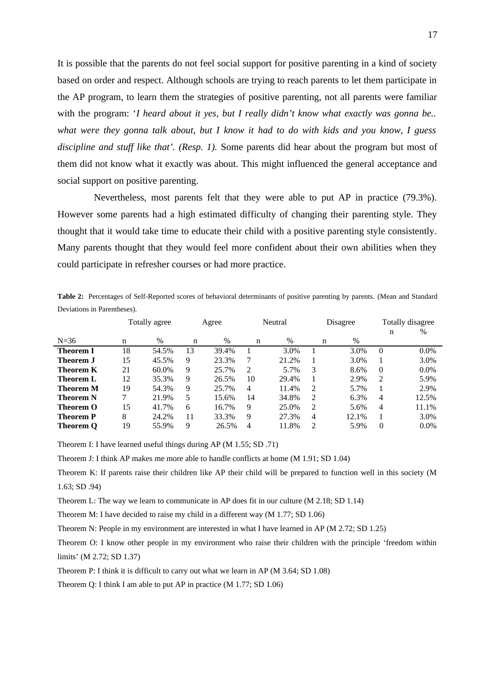It is possible that the parents do not feel social support for positive parenting in a kind of society based on order and respect. Although schools are trying to reach parents to let them participate in the AP program, to learn them the strategies of positive parenting, not all parents were familiar with the program: '*I heard about it yes, but I really didn't know what exactly was gonna be.. what were they gonna talk about, but I know it had to do with kids and you know, I guess discipline and stuff like that'. (Resp. 1).* Some parents did hear about the program but most of them did not know what it exactly was about. This might influenced the general acceptance and social support on positive parenting.

Nevertheless, most parents felt that they were able to put AP in practice (79.3%). However some parents had a high estimated difficulty of changing their parenting style. They thought that it would take time to educate their child with a positive parenting style consistently. Many parents thought that they would feel more confident about their own abilities when they could participate in refresher courses or had more practice.

**Table 2:** Percentages of Self-Reported scores of behavioral determinants of positive parenting by parents. (Mean and Standard Deviations in Parentheses).

|                  | Totally agree |       | Agree |               | Neutral |       | Disagree       |       | Totally disagree |         |
|------------------|---------------|-------|-------|---------------|---------|-------|----------------|-------|------------------|---------|
|                  |               |       |       |               |         |       |                |       | n                | $\%$    |
| $N=36$           | n             | $\%$  | n     | $\frac{0}{0}$ | n       | $\%$  | n              | $\%$  |                  |         |
| Theorem I        | 18            | 54.5% | 13    | 39.4%         |         | 3.0%  |                | 3.0%  | 0                | $0.0\%$ |
| <b>Theorem J</b> | 15            | 45.5% | 9     | 23.3%         | 7       | 21.2% | 1              | 3.0%  |                  | $3.0\%$ |
| Theorem K        | 21            | 60.0% | 9     | 25.7%         | 2       | 5.7%  | 3              | 8.6%  | 0                | $0.0\%$ |
| Theorem L        | 12            | 35.3% | 9     | 26.5%         | 10      | 29.4% | 1              | 2.9%  | $\overline{2}$   | 5.9%    |
| Theorem M        | 19            | 54.3% | 9     | 25.7%         | 4       | 11.4% | 2              | 5.7%  |                  | 2.9%    |
| Theorem N        | 7             | 21.9% | 5.    | 15.6%         | 14      | 34.8% | 2              | 6.3%  | 4                | 12.5%   |
| Theorem O        | 15            | 41.7% | 6     | 16.7%         | 9       | 25.0% | 2              | 5.6%  | 4                | 11.1%   |
| Theorem P        | 8             | 24.2% | 11    | 33.3%         | 9       | 27.3% | $\overline{4}$ | 12.1% |                  | $3.0\%$ |
| <b>Theorem Q</b> | 19            | 55.9% | 9     | 26.5%         | 4       | 11.8% | 2              | 5.9%  | $\Omega$         | $0.0\%$ |

Theorem I: I have learned useful things during AP (M 1.55; SD .71)

Theorem J: I think AP makes me more able to handle conflicts at home (M 1.91; SD 1.04)

Theorem K: If parents raise their children like AP their child will be prepared to function well in this society (M 1.63; SD .94)

Theorem L: The way we learn to communicate in AP does fit in our culture (M 2.18; SD 1.14)

Theorem M: I have decided to raise my child in a different way (M 1.77; SD 1.06)

Theorem N: People in my environment are interested in what I have learned in AP (M 2.72; SD 1.25)

Theorem O: I know other people in my environment who raise their children with the principle 'freedom within limits' (M 2.72; SD 1.37)

Theorem P: I think it is difficult to carry out what we learn in AP (M 3.64; SD 1.08)

Theorem Q: I think I am able to put AP in practice (M 1.77; SD 1.06)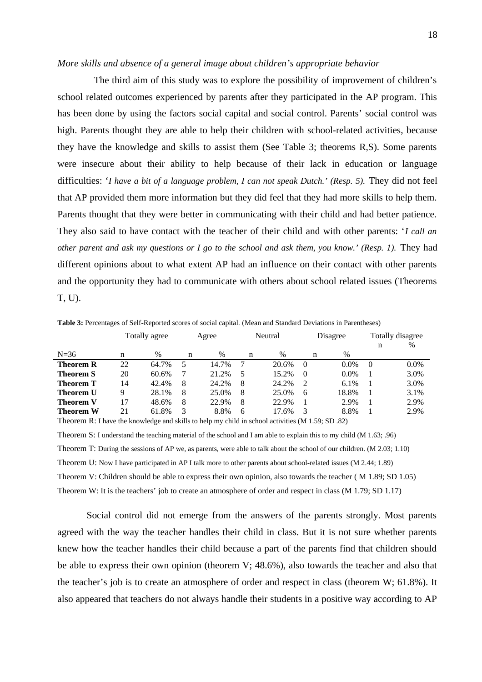#### *More skills and absence of a general image about children's appropriate behavior*

The third aim of this study was to explore the possibility of improvement of children's school related outcomes experienced by parents after they participated in the AP program. This has been done by using the factors social capital and social control. Parents' social control was high. Parents thought they are able to help their children with school-related activities, because they have the knowledge and skills to assist them (See Table 3; theorems R,S). Some parents were insecure about their ability to help because of their lack in education or language difficulties: '*I have a bit of a language problem, I can not speak Dutch.' (Resp. 5).* They did not feel that AP provided them more information but they did feel that they had more skills to help them. Parents thought that they were better in communicating with their child and had better patience. They also said to have contact with the teacher of their child and with other parents: '*I call an other parent and ask my questions or I go to the school and ask them, you know.' (Resp. 1). They had* different opinions about to what extent AP had an influence on their contact with other parents and the opportunity they had to communicate with others about school related issues (Theorems T, U).

N=36 Totally agree n % Agree n % Neutral n % Disagree n % Totally disagree n % **Theorem R** 22 64.7% 5 14.7% 7 20.6% 0 0.0% 0 0.0% **Theorem S** 20 60.6% 7 21.2% 5 15.2% 0 0.0% 1 3.0% **Theorem T** 14 42.4% 8 24.2% 8 24.2% 2 6.1% 1 3.0% **Theorem U** 9 28.1% 8 25.0% 8 25.0% 6 18.8% 1 3.1% **Theorem V** 17 48.6% 8 22.9% 8 22.9% 1 2.9% 1 2.9% **Theorem W** 21 61.8% 3 8.8% 6 17.6% 3 8.8% 1 2.9% Theorem R: I have the knowledge and skills to help my child in school activities (M 1.59; SD .82)

**Table 3:** Percentages of Self-Reported scores of social capital. (Mean and Standard Deviations in Parentheses)

Theorem S: I understand the teaching material of the school and I am able to explain this to my child (M 1.63; .96) Theorem T: During the sessions of AP we, as parents, were able to talk about the school of our children. (M 2.03; 1.10) Theorem U: Now I have participated in AP I talk more to other parents about school-related issues (M 2.44; 1.89) Theorem V: Children should be able to express their own opinion, also towards the teacher ( M 1.89; SD 1.05) Theorem W: It is the teachers' job to create an atmosphere of order and respect in class (M 1.79; SD 1.17)

Social control did not emerge from the answers of the parents strongly. Most parents agreed with the way the teacher handles their child in class. But it is not sure whether parents knew how the teacher handles their child because a part of the parents find that children should be able to express their own opinion (theorem V; 48.6%), also towards the teacher and also that the teacher's job is to create an atmosphere of order and respect in class (theorem W; 61.8%). It also appeared that teachers do not always handle their students in a positive way according to AP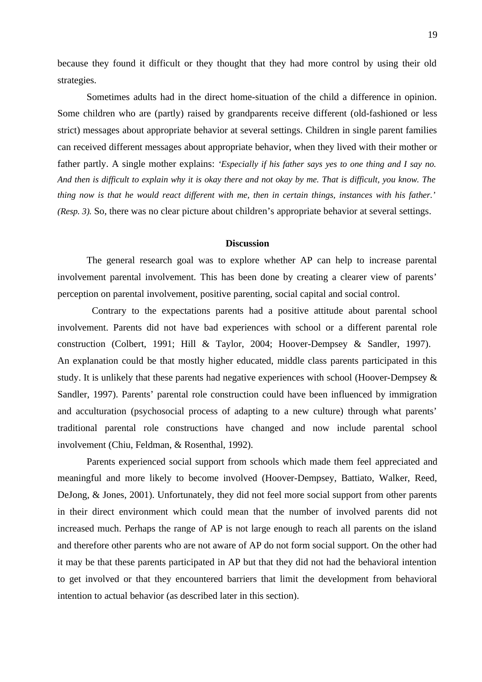because they found it difficult or they thought that they had more control by using their old strategies.

Sometimes adults had in the direct home-situation of the child a difference in opinion. Some children who are (partly) raised by grandparents receive different (old-fashioned or less strict) messages about appropriate behavior at several settings. Children in single parent families can received different messages about appropriate behavior, when they lived with their mother or father partly. A single mother explains: *'Especially if his father says yes to one thing and I say no. And then is difficult to explain why it is okay there and not okay by me. That is difficult, you know. The thing now is that he would react different with me, then in certain things, instances with his father.' (Resp. 3).* So, there was no clear picture about children's appropriate behavior at several settings.

# **Discussion**

The general research goal was to explore whether AP can help to increase parental involvement parental involvement. This has been done by creating a clearer view of parents' perception on parental involvement, positive parenting, social capital and social control.

 Contrary to the expectations parents had a positive attitude about parental school involvement. Parents did not have bad experiences with school or a different parental role construction (Colbert, 1991; Hill & Taylor, 2004; Hoover-Dempsey & Sandler, 1997). An explanation could be that mostly higher educated, middle class parents participated in this study. It is unlikely that these parents had negative experiences with school (Hoover-Dempsey & Sandler, 1997). Parents' parental role construction could have been influenced by immigration and acculturation (psychosocial process of adapting to a new culture) through what parents' traditional parental role constructions have changed and now include parental school involvement (Chiu, Feldman, & Rosenthal, 1992).

Parents experienced social support from schools which made them feel appreciated and meaningful and more likely to become involved (Hoover-Dempsey, Battiato, Walker, Reed, DeJong, & Jones, 2001). Unfortunately, they did not feel more social support from other parents in their direct environment which could mean that the number of involved parents did not increased much. Perhaps the range of AP is not large enough to reach all parents on the island and therefore other parents who are not aware of AP do not form social support. On the other had it may be that these parents participated in AP but that they did not had the behavioral intention to get involved or that they encountered barriers that limit the development from behavioral intention to actual behavior (as described later in this section).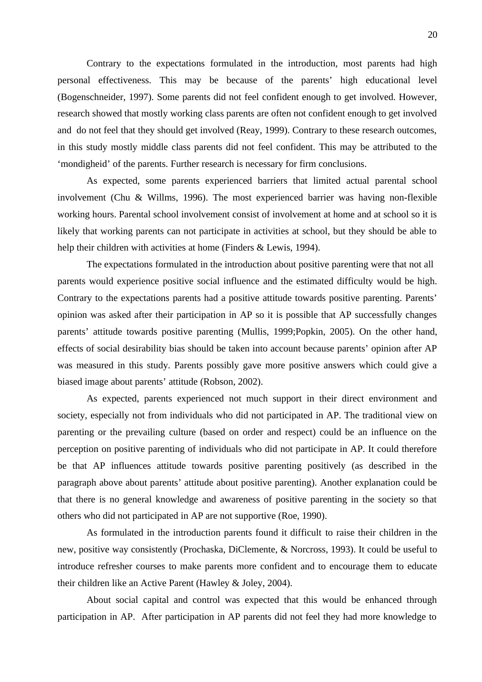Contrary to the expectations formulated in the introduction, most parents had high personal effectiveness. This may be because of the parents' high educational level (Bogenschneider, 1997). Some parents did not feel confident enough to get involved. However, research showed that mostly working class parents are often not confident enough to get involved and do not feel that they should get involved (Reay, 1999). Contrary to these research outcomes, in this study mostly middle class parents did not feel confident. This may be attributed to the 'mondigheid' of the parents. Further research is necessary for firm conclusions.

As expected, some parents experienced barriers that limited actual parental school involvement (Chu & Willms, 1996). The most experienced barrier was having non-flexible working hours. Parental school involvement consist of involvement at home and at school so it is likely that working parents can not participate in activities at school, but they should be able to help their children with activities at home (Finders & Lewis, 1994).

The expectations formulated in the introduction about positive parenting were that not all parents would experience positive social influence and the estimated difficulty would be high. Contrary to the expectations parents had a positive attitude towards positive parenting. Parents' opinion was asked after their participation in AP so it is possible that AP successfully changes parents' attitude towards positive parenting (Mullis, 1999;Popkin, 2005). On the other hand, effects of social desirability bias should be taken into account because parents' opinion after AP was measured in this study. Parents possibly gave more positive answers which could give a biased image about parents' attitude (Robson, 2002).

As expected, parents experienced not much support in their direct environment and society, especially not from individuals who did not participated in AP. The traditional view on parenting or the prevailing culture (based on order and respect) could be an influence on the perception on positive parenting of individuals who did not participate in AP. It could therefore be that AP influences attitude towards positive parenting positively (as described in the paragraph above about parents' attitude about positive parenting). Another explanation could be that there is no general knowledge and awareness of positive parenting in the society so that others who did not participated in AP are not supportive (Roe, 1990).

As formulated in the introduction parents found it difficult to raise their children in the new, positive way consistently (Prochaska, DiClemente, & Norcross, 1993). It could be useful to introduce refresher courses to make parents more confident and to encourage them to educate their children like an Active Parent (Hawley & Joley, 2004).

About social capital and control was expected that this would be enhanced through participation in AP. After participation in AP parents did not feel they had more knowledge to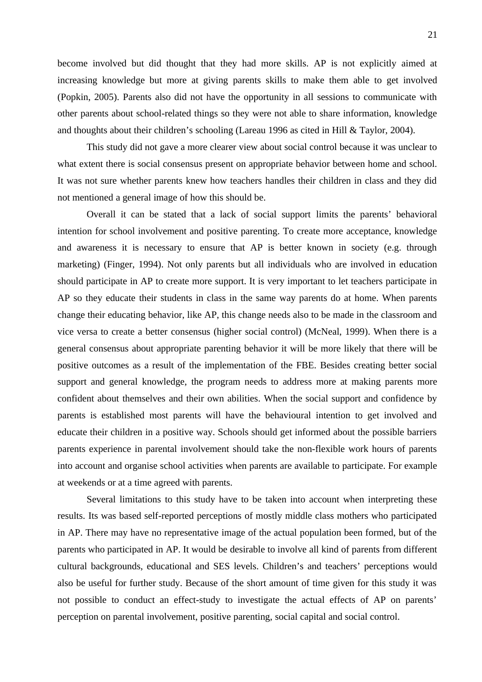become involved but did thought that they had more skills. AP is not explicitly aimed at increasing knowledge but more at giving parents skills to make them able to get involved (Popkin, 2005). Parents also did not have the opportunity in all sessions to communicate with other parents about school-related things so they were not able to share information, knowledge and thoughts about their children's schooling (Lareau 1996 as cited in Hill & Taylor, 2004).

This study did not gave a more clearer view about social control because it was unclear to what extent there is social consensus present on appropriate behavior between home and school. It was not sure whether parents knew how teachers handles their children in class and they did not mentioned a general image of how this should be.

Overall it can be stated that a lack of social support limits the parents' behavioral intention for school involvement and positive parenting. To create more acceptance, knowledge and awareness it is necessary to ensure that AP is better known in society (e.g. through marketing) (Finger, 1994). Not only parents but all individuals who are involved in education should participate in AP to create more support. It is very important to let teachers participate in AP so they educate their students in class in the same way parents do at home. When parents change their educating behavior, like AP, this change needs also to be made in the classroom and vice versa to create a better consensus (higher social control) (McNeal, 1999). When there is a general consensus about appropriate parenting behavior it will be more likely that there will be positive outcomes as a result of the implementation of the FBE. Besides creating better social support and general knowledge, the program needs to address more at making parents more confident about themselves and their own abilities. When the social support and confidence by parents is established most parents will have the behavioural intention to get involved and educate their children in a positive way. Schools should get informed about the possible barriers parents experience in parental involvement should take the non-flexible work hours of parents into account and organise school activities when parents are available to participate. For example at weekends or at a time agreed with parents.

Several limitations to this study have to be taken into account when interpreting these results. Its was based self-reported perceptions of mostly middle class mothers who participated in AP. There may have no representative image of the actual population been formed, but of the parents who participated in AP. It would be desirable to involve all kind of parents from different cultural backgrounds, educational and SES levels. Children's and teachers' perceptions would also be useful for further study. Because of the short amount of time given for this study it was not possible to conduct an effect-study to investigate the actual effects of AP on parents' perception on parental involvement, positive parenting, social capital and social control.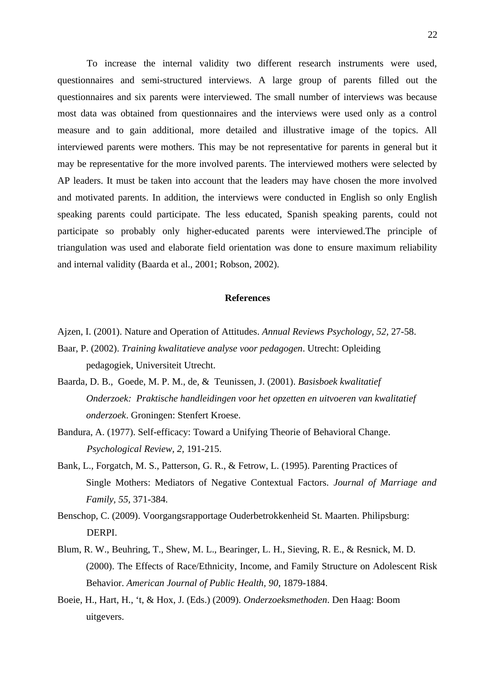To increase the internal validity two different research instruments were used, questionnaires and semi-structured interviews. A large group of parents filled out the questionnaires and six parents were interviewed. The small number of interviews was because most data was obtained from questionnaires and the interviews were used only as a control measure and to gain additional, more detailed and illustrative image of the topics. All interviewed parents were mothers. This may be not representative for parents in general but it may be representative for the more involved parents. The interviewed mothers were selected by AP leaders. It must be taken into account that the leaders may have chosen the more involved and motivated parents. In addition, the interviews were conducted in English so only English speaking parents could participate. The less educated, Spanish speaking parents, could not participate so probably only higher-educated parents were interviewed.The principle of triangulation was used and elaborate field orientation was done to ensure maximum reliability and internal validity (Baarda et al., 2001; Robson, 2002).

# **References**

Ajzen, I. (2001). Nature and Operation of Attitudes. *Annual Reviews Psychology, 52,* 27-58.

- Baar, P. (2002). *Training kwalitatieve analyse voor pedagogen*. Utrecht: Opleiding pedagogiek, Universiteit Utrecht.
- Baarda, D. B., Goede, M. P. M., de, & Teunissen, J. (2001). *Basisboek kwalitatief Onderzoek: Praktische handleidingen voor het opzetten en uitvoeren van kwalitatief onderzoek*. Groningen: Stenfert Kroese.
- Bandura, A. (1977). Self-efficacy: Toward a Unifying Theorie of Behavioral Change. *Psychological Review, 2,* 191-215.
- Bank, L., Forgatch, M. S., Patterson, G. R., & Fetrow, L. (1995). Parenting Practices of Single Mothers: Mediators of Negative Contextual Factors. *Journal of Marriage and Family, 55,* 371-384.
- Benschop, C. (2009). Voorgangsrapportage Ouderbetrokkenheid St. Maarten. Philipsburg: DERPI.
- Blum, R. W., Beuhring, T., Shew, M. L., Bearinger, L. H., Sieving, R. E., & Resnick, M. D. (2000). The Effects of Race/Ethnicity, Income, and Family Structure on Adolescent Risk Behavior. *American Journal of Public Health, 90*, 1879-1884.
- Boeie, H., Hart, H., 't, & Hox, J. (Eds.) (2009). *Onderzoeksmethoden*. Den Haag: Boom uitgevers.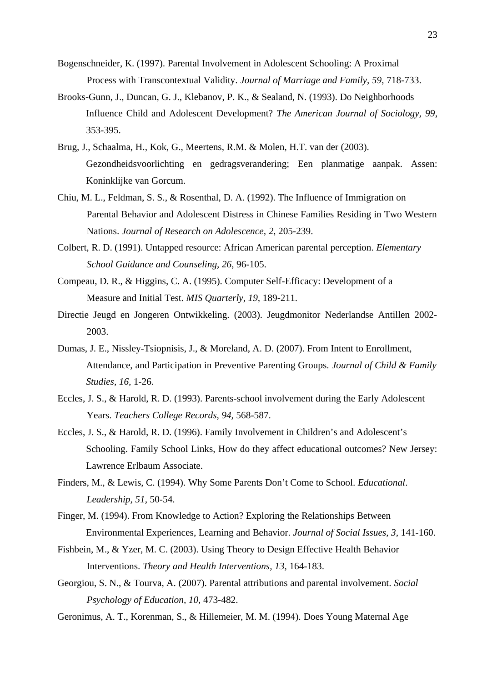- Bogenschneider, K. (1997). Parental Involvement in Adolescent Schooling: A Proximal Process with Transcontextual Validity. *Journal of Marriage and Family, 59,* 718-733.
- Brooks-Gunn, J., Duncan, G. J., Klebanov, P. K., & Sealand, N. (1993). Do Neighborhoods Influence Child and Adolescent Development? *The American Journal of Sociology, 99*, 353-395.
- Brug, J., Schaalma, H., Kok, G., Meertens, R.M. & Molen, H.T. van der (2003). Gezondheidsvoorlichting en gedragsverandering; Een planmatige aanpak. Assen: Koninklijke van Gorcum.
- Chiu, M. L., Feldman, S. S., & Rosenthal, D. A. (1992). The Influence of Immigration on Parental Behavior and Adolescent Distress in Chinese Families Residing in Two Western Nations. *Journal of Research on Adolescence, 2*, 205-239.
- Colbert, R. D. (1991). Untapped resource: African American parental perception. *Elementary School Guidance and Counseling, 26,* 96-105.
- Compeau, D. R., & Higgins, C. A. (1995). Computer Self-Efficacy: Development of a Measure and Initial Test. *MIS Quarterly, 19,* 189-211.
- Directie Jeugd en Jongeren Ontwikkeling. (2003). Jeugdmonitor Nederlandse Antillen 2002- 2003.
- Dumas, J. E., Nissley-Tsiopnisis, J., & Moreland, A. D. (2007). From Intent to Enrollment, Attendance, and Participation in Preventive Parenting Groups. *Journal of Child & Family Studies, 16,* 1-26.
- Eccles, J. S., & Harold, R. D. (1993). Parents-school involvement during the Early Adolescent Years. *Teachers College Records, 94,* 568-587.
- Eccles, J. S., & Harold, R. D. (1996). Family Involvement in Children's and Adolescent's Schooling. Family School Links, How do they affect educational outcomes? New Jersey: Lawrence Erlbaum Associate.
- Finders, M., & Lewis, C. (1994). Why Some Parents Don't Come to School. *Educational*. *Leadership, 51,* 50-54.
- Finger, M. (1994). From Knowledge to Action? Exploring the Relationships Between Environmental Experiences, Learning and Behavior. *Journal of Social Issues, 3,* 141-160.
- Fishbein, M., & Yzer, M. C. (2003). Using Theory to Design Effective Health Behavior Interventions. *Theory and Health Interventions, 13,* 164-183.
- Georgiou, S. N., & Tourva, A. (2007). Parental attributions and parental involvement. *Social Psychology of Education, 10,* 473-482.
- Geronimus, A. T., Korenman, S., & Hillemeier, M. M. (1994). Does Young Maternal Age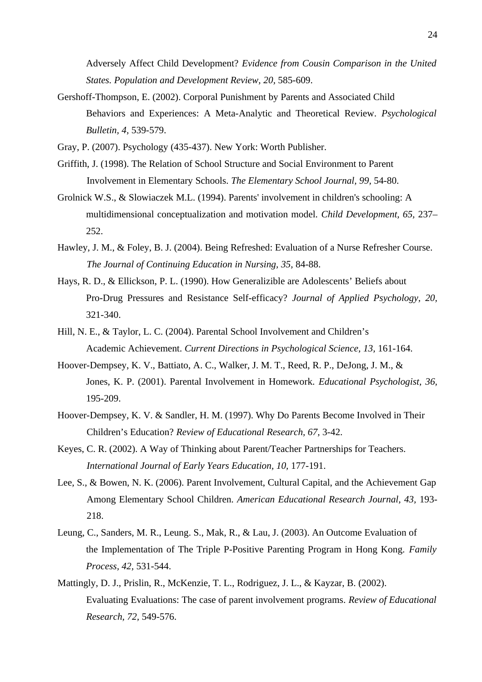Adversely Affect Child Development? *Evidence from Cousin Comparison in the United States. Population and Development Review, 20,* 585-609.

Gershoff-Thompson, E. (2002). Corporal Punishment by Parents and Associated Child Behaviors and Experiences: A Meta-Analytic and Theoretical Review. *Psychological Bulletin, 4,* 539-579.

Gray, P. (2007). Psychology (435-437). New York: Worth Publisher.

- Griffith, J. (1998). The Relation of School Structure and Social Environment to Parent Involvement in Elementary Schools. *The Elementary School Journal, 99,* 54-80.
- Grolnick W.S., & Slowiaczek M.L. (1994). Parents' involvement in children's schooling: A multidimensional conceptualization and motivation model. *Child Development, 65,* 237– 252.
- Hawley, J. M., & Foley, B. J. (2004). Being Refreshed: Evaluation of a Nurse Refresher Course. *The Journal of Continuing Education in Nursing, 35,* 84-88.
- Hays, R. D., & Ellickson, P. L. (1990). How Generalizible are Adolescents' Beliefs about Pro-Drug Pressures and Resistance Self-efficacy? *Journal of Applied Psychology, 20,* 321-340.
- Hill, N. E., & Taylor, L. C. (2004). Parental School Involvement and Children's Academic Achievement. *Current Directions in Psychological Science, 13,* 161-164.
- Hoover-Dempsey, K. V., Battiato, A. C., Walker, J. M. T., Reed, R. P., DeJong, J. M., & Jones, K. P. (2001). Parental Involvement in Homework. *Educational Psychologist, 36,* 195-209.
- Hoover-Dempsey, K. V. & Sandler, H. M. (1997). Why Do Parents Become Involved in Their Children's Education? *Review of Educational Research, 67,* 3-42.
- Keyes, C. R. (2002). A Way of Thinking about Parent/Teacher Partnerships for Teachers. *International Journal of Early Years Education, 10,* 177-191.
- Lee, S., & Bowen, N. K. (2006). Parent Involvement, Cultural Capital, and the Achievement Gap Among Elementary School Children. *American Educational Research Journal, 43,* 193- 218.
- Leung, C., Sanders, M. R., Leung. S., Mak, R., & Lau, J. (2003). An Outcome Evaluation of the Implementation of The Triple P-Positive Parenting Program in Hong Kong. *Family Process, 42,* 531-544.
- Mattingly, D. J., Prislin, R., McKenzie, T. L., Rodriguez, J. L., & Kayzar, B. (2002). Evaluating Evaluations: The case of parent involvement programs. *Review of Educational Research, 72,* 549-576.